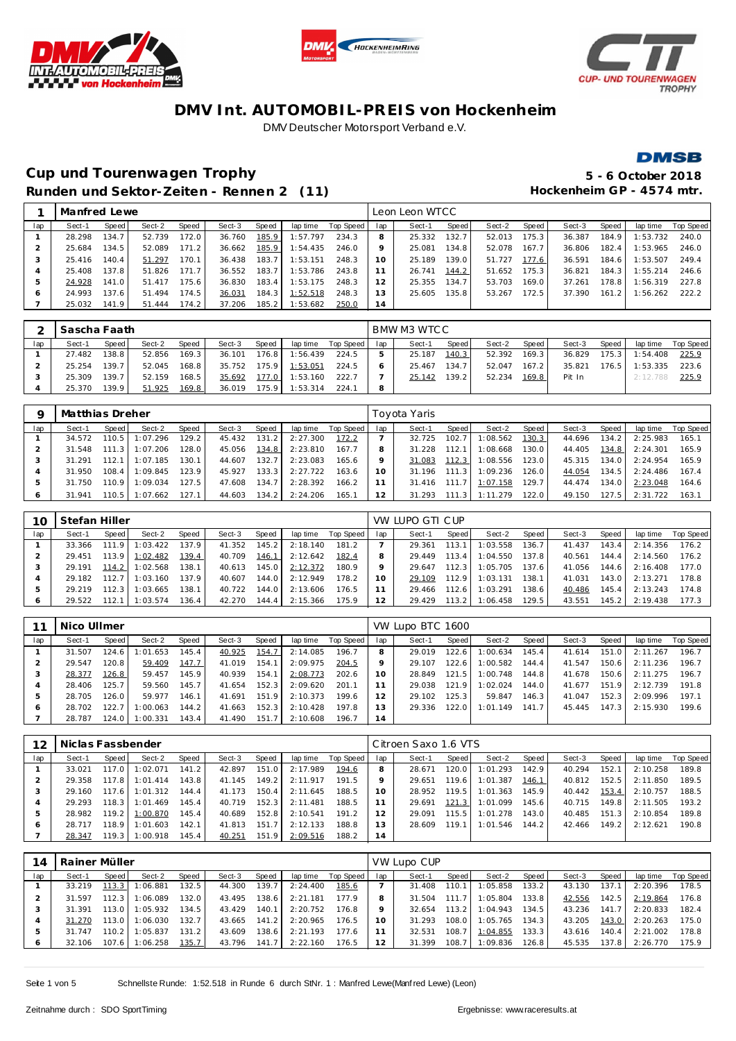





**DMSB** 

## **Cup und Tourenwagen Trophy 5 - 6 October 2018** Runden und Sektor-Zeiten - Rennen 2 (11) **Hockenheim GP** - 4574 mtr.

|     | Manfred Lewe |         |        |       |        |       |          |           |         | Leon Leon WTCC |       |        |       |        |       |          |           |
|-----|--------------|---------|--------|-------|--------|-------|----------|-----------|---------|----------------|-------|--------|-------|--------|-------|----------|-----------|
| lap | Sect-1       | Speed   | Sect-2 | Speed | Sect-3 | Speed | lap time | Top Speed | lap     | Sect-1         | Speed | Sect-2 | Speed | Sect-3 | Speed | lap time | Top Speed |
|     | 28.298       | 134.7   | 52.739 | 172.0 | 36.760 | 185.9 | 1:57.797 | 234.3     | 8       | 25.332         | 132.7 | 52.013 | 175.3 | 36.387 | 184.9 | 1:53.732 | 240.0     |
|     | 25.684       | 134.5   | 52.089 | 171.2 | 36.662 | 185.9 | 1:54.435 | 246.0     | $\circ$ | 25.081         | 134.8 | 52.078 | 167.7 | 36.806 | 182.4 | 1:53.965 | 246.0     |
| 3   | 25.416       | 140.4   | 51.297 | 170.1 | 36.438 | 183.7 | 1:53.151 | 248.3     | 10      | 25.189         | 139.0 | 51.727 | 177.6 | 36.591 | 184.6 | 1:53.507 | 249.4     |
|     | 25.408       | 137.8   | 51.826 | 171.7 | 36.552 | 183.7 | 1:53.786 | 243.8     |         | 26.741         | 144.2 | 51.652 | 175.3 | 36.821 | 184.3 | 1:55.214 | 246.6     |
| ъ   | 24.928       | 141.O I | 51.417 | 175.6 | 36.830 | 183.4 | 1:53.175 | 248.3     | 2       | 25.355         | 134.7 | 53.703 | 169.0 | 37.261 | 178.8 | 1:56.319 | 227.8     |
| O   | 24.993       | 137.6   | 51.494 | 174.5 | 36.031 | 184.3 | 1:52.518 | 248.3     | 3       | 25.605         | 135.8 | 53.267 | 172.5 | 37.390 | 161.2 | 1:56.262 | 222.2     |
|     | 25.032       | 141.9 I | 51.444 | 174.2 | 37.206 | 185.2 | 1:53.682 | 250.0     | 14      |                |       |        |       |        |       |          |           |

|     | Sascha Faath |        |        |        |        |                    |          |             |     | BMW M3 WTC C |       |        |        |        |        |          |           |
|-----|--------------|--------|--------|--------|--------|--------------------|----------|-------------|-----|--------------|-------|--------|--------|--------|--------|----------|-----------|
| lap | Sect-1       | Speed  | Sect-2 | Speed  | Sect-3 | Speed              | lap time | Top Speed I | lap | Sect-1       | Speed | Sect-2 | Speed  | Sect-3 | Speed  | lap time | Top Speed |
|     | 27.482       | 138.8  | 52.856 | 169.3  | 36.101 | 176.81             | 1:56.439 | 224.5       |     | 25.187       | 140.3 | 52.392 | 169.31 | 36.829 | 175.3  | 1:54.408 | 225.9     |
|     | 25.254       | 139.7  | 52.045 | 168.81 | 35.752 | 75.9               | 1:53.051 | 224.5       |     | 25.467       | 134.7 | 52.047 | 167.21 | 35.821 | 176.51 | 1:53.335 | 223.6     |
|     | 25.309       | 139.7  | 52.159 | 168.5  | 35.692 | 177.0 <sub>1</sub> | 1:53.160 | 222.7       |     | 25.142       | 139.2 | 52.234 | 169.8  | Pit In |        | 2:12.788 | 225.9     |
|     | 25.370       | 139.91 | 51.925 | 169.8  | 36.019 | 175.9 I            | : 53.314 | 224.7       |     |              |       |        |        |        |        |          |           |

| $\circ$ | Matthias Dreher |         |          |       |        |       |          |           |     | Tovota Yaris |         |          |       |        |       |          |           |
|---------|-----------------|---------|----------|-------|--------|-------|----------|-----------|-----|--------------|---------|----------|-------|--------|-------|----------|-----------|
| lap     | Sect-1          | Speed I | Sect-2   | Speed | Sect-3 | Speed | lap time | Top Speed | lap | Sect-1       | Speed I | Sect-2   | Speed | Sect-3 | Speed | lap time | Top Speed |
|         | 34.572          | 110.5   | 1:07.296 | 129.2 | 45.432 | 131.2 | 2:27.300 | 172.2     |     | 32.725       | 102.7   | 1:08.562 | 130.3 | 44.696 | 134.2 | 2:25.983 | 165.1     |
|         | 31.548          | 111.3   | 1:07.206 | 128.0 | 45.056 | 134.8 | 2:23.810 | 167.7     |     | 31.228       | 112.1   | 1:08.668 | 130.0 | 44.405 | 134.8 | 2:24.301 | 165.9     |
|         | 31.291          | 112.1   | 1:07.185 | 130.1 | 44.607 | 132.7 | 2:23.083 | 165.6     |     | 31.083       | 112.3   | 1:08.556 | 123.0 | 45.315 | 134.0 | 2:24.954 | 165.9     |
|         | 31.950          | 108.4   | 1:09.845 | 123.9 | 45.927 | 133.3 | 2:27.722 | 163.6     |     | 31.196       | 111.3   | 1:09.236 | 126.0 | 44.054 | 134.5 | 2:24.486 | 167.4     |
| 5       | 31.750          | 110.9   | 1:09.034 | 127.5 | 47.608 | 134.7 | 2:28.392 | 166.2     |     | 31.416       | 111.7   | 1:07.158 | 129.7 | 44.474 | 134.0 | 2:23.048 | 164.6     |
|         | 31.941          | 110.5   | 1:07.662 | 127.1 | 44.603 | 134.2 | 2:24.206 | 165.1     | 2   | 31.293       | 111.3   | 1:11.279 | 122.0 | 49.150 | 127.5 | 2:31.722 | 163.1     |

| 10      | Stefan Hiller |              |          |                    |        |         |          |           |     | VW LUPO GTI CUP |       |          |                    |        |       |          |           |
|---------|---------------|--------------|----------|--------------------|--------|---------|----------|-----------|-----|-----------------|-------|----------|--------------------|--------|-------|----------|-----------|
| lap     | Sect-1        | <b>Speed</b> | Sect-2   | Speed              | Sect-3 | Speed   | lap time | Top Speed | lap | Sect-1          | Speed | Sect-2   | Speed              | Sect-3 | Speed | lap time | Top Speed |
|         | 33.366        | 111.9        | 1:03.422 | 137.9 <sub>1</sub> | 41.352 | 145.2   | 2:18.140 | 181.2     |     | 29.361          | 113.1 | 1:03.558 | 136.7              | 41.437 | 143.4 | 2:14.356 | 176.2     |
|         | 29.451        | 113.9        | 1:02.482 | 139.4              | 40.709 | 146.1   | 2:12.642 | 182.4     |     | 29.449          | 113.4 | 1:04.550 | 137.8              | 40.561 | 144.4 | 2:14.560 | 176.2     |
|         | 29.191        | 114.2        | 1:02.568 | 138.1              | 40.613 | 145.0   | 2:12.372 | 180.9     |     | 29.647          | 112.3 | 1:05.705 | 137.6              | 41.056 | 144.6 | 2:16.408 | 177.0     |
|         | 29.182        | 112.7        | 1:03.160 | 137.9              | 40.607 | 144.0   | 2:12.949 | 178.2     |     | 29.109          | 112.9 | 1:03.131 | 138.1 <sub>1</sub> | 41.031 | 143.0 | 2:13.271 | 178.8     |
|         | 29.219        | 12.3         | 1:03.665 | 138.1              | 40.722 | 144.0 I | 2:13.606 | 176.5     |     | 29.466          | 112.6 | 1:03.291 | 138.6              | 40.486 | 145.4 | 2:13.243 | 174.8     |
| $\circ$ | 29.522        | 12.1         | 1:03.574 | 136.4              | 42.270 | 144.4   | 2:15.366 | 175.9     |     | 29.429          | 113.2 | 1:06.458 | 129.5              | 43.551 | 145.2 | 2:19.438 | 177.3     |

|     | Nico Ullmer |       |         |       |        |       |          |           |     | VW Lupo BTC 1600 |       |          |                       |        |       |          |                  |
|-----|-------------|-------|---------|-------|--------|-------|----------|-----------|-----|------------------|-------|----------|-----------------------|--------|-------|----------|------------------|
| lap | Sect-1      | Speed | Sect-2  | Speed | Sect-3 | Speed | lap time | Top Speed | lap | Sect-1           | Speed | Sect-2   | Speed                 | Sect-3 | Speed | lap time | <b>Top Speed</b> |
|     | 31.507      | 124.6 | :01.653 | 145.4 | 40.925 | 154.7 | 2:14.085 | 196.7     |     | 29.019           | 122.6 | 1:00.634 | 145.4                 | 41.614 | 151.0 | 2:11.267 | 196.7            |
|     | 29.547      | 120.8 | 59.409  | 147.7 | 41.019 | 154.1 | 2:09.975 | 204.5     |     | 29.107           | 122.6 | 1:00.582 | 144.4                 | 41.547 | 150.6 | 2:11.236 | 196.7            |
|     | 28.377      | 126.8 | 59.457  | 145.9 | 40.939 | 154.1 | 2:08.773 | 202.6     | 10  | 28.849           | 121.5 | 1:00.748 | 144.81                | 41.678 | 150.6 | 2:11.275 | 196.7            |
| 4   | 28.406      | 125.7 | 59.560  | 145.7 | 41.654 | 152.3 | 2:09.620 | 201.1     | 11  | 29.038           | 121.9 | 1:02.024 | 144.0                 | 41.677 | 151.9 | 2:12.739 | 191.8            |
| ь   | 28.705      | 126.0 | 59.977  | 146.1 | 41.691 | 151.9 | 2:10.373 | 199.6     | 12  | 29.102           | 125.3 | 59.847   | 146.3                 | 41.047 | 152.3 | 2:09.996 | 197.1            |
| O   | 28.702      | 122.7 | :00.063 | 144.2 | 41.663 | 152.3 | 2:10.428 | 197.8     | 13  | 29.336           | 122.0 | 1:01.149 | 141<br>7 <sub>1</sub> | 45.445 | 147.3 | 2:15.930 | 199.6            |
|     | 28.787      | 124.0 | :00.331 | 143.4 | 41.490 | 151.7 | 2:10.608 | 196.7     | 14  |                  |       |          |                       |        |       |          |                  |

|     | Niclas Fassbender |         |          |        |        |       |          |           |     | Citroen Saxo 1.6 VTS |       |          |                    |        |       |          |           |
|-----|-------------------|---------|----------|--------|--------|-------|----------|-----------|-----|----------------------|-------|----------|--------------------|--------|-------|----------|-----------|
| lap | Sect-1            | Speed   | Sect-2   | Speed  | Sect-3 | Speed | lap time | Top Speed | lap | Sect-1               | Speed | Sect-2   | Speed              | Sect-3 | Speed | lap time | Top Speed |
|     | 33.021            | 117.0   | : 02.071 | 141.2. | 42.897 | 151.0 | 2:17.989 | 194.6     |     | 28.671               | 120.0 | 1:01.293 | 142.9              | 40.294 | 152.1 | 2:10.258 | 189.8     |
|     | 29.358            | 117.8   | 1:01.414 | 143.8  | 41.145 | 149.2 | 2:11.917 | 191.5     |     | 29.651               | 119.6 | 1:01.387 | 146.1              | 40.812 | 152.5 | 2:11.850 | 189.5     |
|     | 29.160            | 117.6   | 1:01.312 | 144.4  | 41.173 | 150.4 | 2:11.645 | 188.5     | 10  | 28.952               | 119.5 | 1:01.363 | 145.9              | 40.442 | 153.4 | 2:10.757 | 188.5     |
|     | 29.293            | 118.3 I | 1:01.469 | 145.4  | 40.719 | 152.3 | 2:11.481 | 188.5     |     | 29.691               | 121.3 | 1:01.099 | 145.6 <sub>1</sub> | 40.715 | 149.8 | 2:11.505 | 193.2     |
| ь   | 28.982            | 119.2   | 1:00.870 | 145.4  | 40.689 | 152.8 | 2:10.541 | 191.2     |     | 29.091               | 115.5 | 1:01.278 | 143.0              | 40.485 | 151.3 | 2:10.854 | 189.8     |
| 6   | 28.717            | 118.9   | 1:01.603 | 142.1  | 41.813 | 151.7 | 2:12.133 | 188.8     | 13  | 28.609               | 119.1 | 1:01.546 | 144.2              | 42.466 | 149.2 | 2:12.621 | 190.8     |
|     | 28.347            | 119.3   | 1:00.918 | 145.4  | 40.251 | 151.9 | 2:09.516 | 188.2     | 14  |                      |       |          |                    |        |       |          |           |

| 14  | Rainer Müller |       |          |       |        |         |          |           |     | VW Lupo CUP |       |          |       |        |       |          |           |
|-----|---------------|-------|----------|-------|--------|---------|----------|-----------|-----|-------------|-------|----------|-------|--------|-------|----------|-----------|
| lap | Sect-1        | Speed | Sect-2   | Speed | Sect-3 | Speed   | lap time | Top Speed | lap | Sect-1      | Speed | Sect-2   | Speed | Sect-3 | Speed | lap time | Top Speed |
|     | 33.219        | 113.3 | :06.881  | 132.5 | 44.300 | 139.7   | 2:24.400 | 185.6     |     | 31.408      | 110.1 | 1:05.858 | 133.2 | 43.130 | 137.1 | 2:20.396 | 178.5     |
|     | 31.597        | 112.3 | : 06.089 | 132.0 | 43.495 | 138.6   | 2:21.181 | 177.9     |     | 31.504      | 111.7 | 1:05.804 | 133.8 | 42.556 | 142.5 | 2:19.864 | 176.8     |
|     | 31.391        | 113.0 | 1:05.932 | 134.5 | 43.429 | 140.1   | 2:20.752 | 176.8     |     | 32.654      | 113.2 | 1:04.943 | 134.5 | 43.236 | 141.7 | 2:20.833 | 182.4     |
|     | 31.270        | 113.0 | 1:06.030 | 132.7 | 43.665 | $141.2$ | 2:20.965 | 176.5     |     | 31.293      | 108.0 | 1:05.765 | 134.3 | 43.205 | 143.0 | 2:20.263 | 175.0     |
|     | 31.747        | 110.2 | 1:05.837 | 131.2 | 43.609 | 138.6   | 2:21.193 | 177.6     |     | 32.531      | 108.7 | 1:04.855 | 133.3 | 43.616 | 140.4 | 2:21.002 | 178.8     |
| O   | 32.106        | 107.6 | 1:06.258 | 135.7 | 43.796 | 141.7   | 2:22.160 | 176.5     |     | 31.399      | 108.7 | 1:09.836 | 126.8 | 45.535 | 137.8 | 2:26.770 | 175.9     |

Seite 1 von 5 Schnellste Runde: 1:52.518 in Runde 6 durch StNr. 1 : Manfred Lewe(Manfred Lewe) (Leon)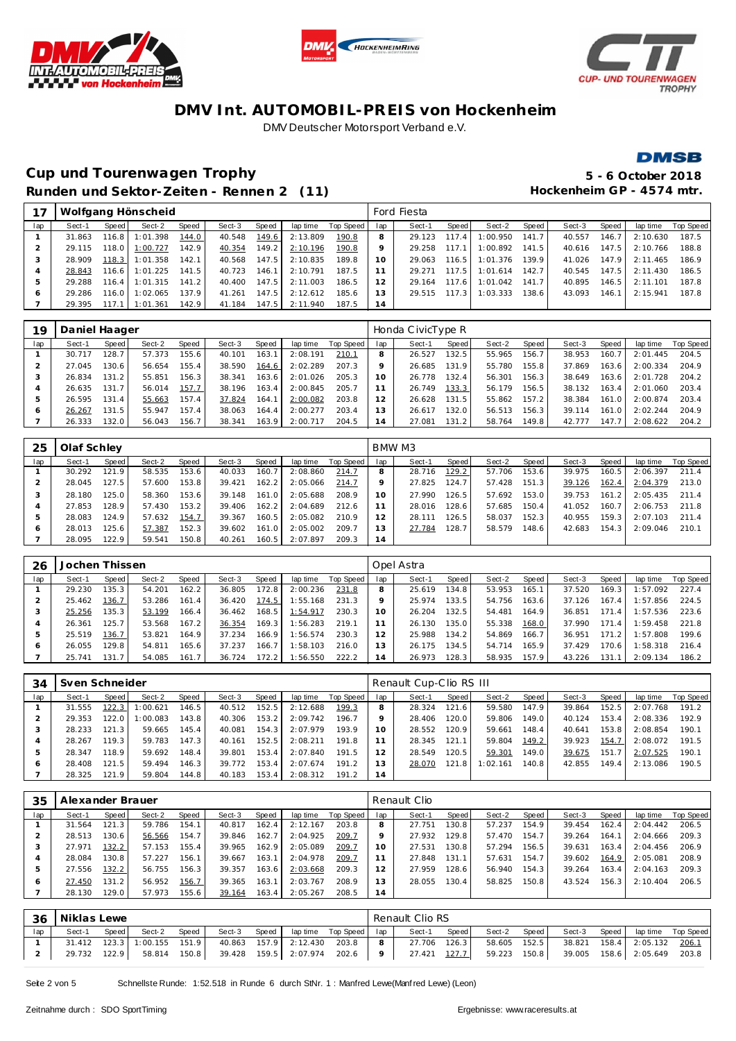





**DMSB** 

## **Cup und Tourenwagen Trophy 5 - 6 October 2018** Runden und Sektor-Zeiten - Rennen 2 (11) **Hockenheim GP** - 4574 mtr.

|     |        |                        | Wolfgang Hönscheid |       |        |       |          |           |                 | Ford Fiesta |       |          |       |        |         |          |           |
|-----|--------|------------------------|--------------------|-------|--------|-------|----------|-----------|-----------------|-------------|-------|----------|-------|--------|---------|----------|-----------|
| lap | Sect-1 | Speed                  | Sect-2             | Speed | Sect-3 | Speed | lap time | Top Speed | lap             | Sect-1      | Speed | Sect-2   | Speed | Sect-3 | Speed ' | lap time | Top Speed |
|     | 31.863 | 116.8                  | 1:01.398           | 144.0 | 40.548 | 149.6 | 2:13.809 | 190.8     |                 | 29.123      | 117.4 | 1:00.950 | 141.7 | 40.557 | 146.7   | 2:10.630 | 187.5     |
|     | 29.115 | 118.0                  | 1:00.727           | 142.9 | 40.354 | 149.2 | 2:10.196 | 190.8     |                 | 29.258      | 117.1 | 1:00.892 | 141.5 | 40.616 | 147.5   | 2:10.766 | 188.8     |
|     | 28.909 | 118.3                  | 1:01.358           | 142.1 | 40.568 | 147.5 | 2:10.835 | 189.8     | 10 <sup>1</sup> | 29.063      | 116.5 | 1:01.376 | 139.9 | 41.026 | 147.9   | 2:11.465 | 186.9     |
| 4   | 28.843 | $116.6$ $\blacksquare$ | 1:01.225           | 141.5 | 40.723 | 146.1 | 2:10.791 | 187.5     |                 | 29.271      | 117.5 | 1:01.614 | 142.7 | 40.545 | 147.5   | 2:11.430 | 186.5     |
| ь   | 29.288 | 116.4                  | 1:01.315           | 141.2 | 40.400 | 147.5 | 2:11.003 | 186.5     |                 | 29.164      | 117.6 | 1:01.042 | 141.7 | 40.895 | 146.5   | 2:11.101 | 187.8     |
| O   | 29.286 | 116.0                  | 1:02.065           | 137.9 | 41.261 | 147.5 | 2:12.612 | 185.6     | 3               | 29.515      | 117.3 | 1:03.333 | 138.6 | 43.093 | 146.1   | 2:15.941 | 187.8     |
|     | 29.395 | 117.1                  | 1:01.361           | 142.9 | 41.184 | 147.5 | 2:11.940 | 187.5     | 14              |             |       |          |       |        |         |          |           |

| 19  | Daniel Haager |        |        |       |        |       |          |           |                | Honda CivicType R |                    |        |        |        |       |          |           |
|-----|---------------|--------|--------|-------|--------|-------|----------|-----------|----------------|-------------------|--------------------|--------|--------|--------|-------|----------|-----------|
| lap | Sect-1        | Speed  | Sect-2 | Speed | Sect-3 | Speed | lap time | Top Speed | lap            | Sect-1            | Speed              | Sect-2 | Speed  | Sect-3 | Speed | lap time | Top Speed |
|     | 30.717        | 128.7  | 57.373 | 155.6 | 40.101 | 163.1 | 2:08.191 | 210.1     | 8              | 26.527            | 132.5              | 55.965 | 156.7  | 38.953 | 160.7 | 2:01.445 | 204.5     |
|     | 27.045        | 130.6  | 56.654 | 155.4 | 38.590 | 164.6 | 2:02.289 | 207.3     |                | 26.685            | 131.9              | 55.780 | 155.81 | 37.869 | 163.6 | 2:00.334 | 204.9     |
| 3   | 26.834        | 131.2  | 55.851 | 156.3 | 38.341 | 163.6 | 2:01.026 | 205.3     | 10             | 26.778            | 132.4 <sub>1</sub> | 56.301 | 156.3  | 38.649 | 163.6 | 2:01.728 | 204.2     |
|     | 26.635        | 131.7  | 56.014 | 157.7 | 38.196 | 163.4 | 2:00.845 | 205.7     | 11             | 26.749            | 133.3              | 56.179 | 156.5  | 38.132 | 163.4 | 2:01.060 | 203.4     |
| 5   | 26.595        | 131.41 | 55.663 | 157.4 | 37.824 | 164.1 | 2:00.082 | 203.8     | 12             | 26.628            | 131.5 <sub>1</sub> | 55.862 | 157.2  | 38.384 | 161.0 | 2:00.874 | 203.4     |
| O   | 26.267        | 131.5  | 55.947 | 157.4 | 38.063 | 164.4 | 2:00.277 | 203.4     | 13             | 26.617            | 132.0              | 56.513 | 156.3  | 39.114 | 161.0 | 2:02.244 | 204.9     |
|     | 26.333        | 132.0  | 56.043 | 156.7 | 38.341 | 163.9 | 2:00.717 | 204.5     | $\overline{4}$ | 27.081            | 131.2              | 58.764 | 149.8  | 42.777 | 147.7 | 2:08.622 | 204.2     |

| 25  | Olaf Schley |       |        |       |        |       |          |           |     | BMW M3 |        |        |       |        |       |          |           |
|-----|-------------|-------|--------|-------|--------|-------|----------|-----------|-----|--------|--------|--------|-------|--------|-------|----------|-----------|
| lap | Sect-1      | Speed | Sect-2 | Speed | Sect-3 | Speed | lap time | Top Speed | lap | Sect-1 | Speed  | Sect-2 | Speed | Sect-3 | Speed | lap time | Top Speed |
|     | 30.292      | 121.9 | 58.535 | 153.6 | 40.033 | 160.7 | 2:08.860 | 214.7     |     | 28.716 | 129.2  | 57.706 | 153.6 | 39.975 | 160.5 | 2:06.397 | 211.4     |
|     | 28.045      | 127.5 | 57.600 | 153.8 | 39.421 | 162.2 | 2:05.066 | 214.7     |     | 27.825 | 124.7. | 57.428 | 151.3 | 39.126 | 162.4 | 2:04.379 | 213.0     |
|     | 28.180      | 125.0 | 58.360 | 153.6 | 39.148 | 161.0 | 2:05.688 | 208.9     | 10  | 27.990 | 126.5  | 57.692 | 153.0 | 39.753 | 161.2 | 2:05.435 | 211.4     |
| 4   | 27.853      | 128.9 | 57.430 | 153.2 | 39.406 | 162.2 | 2:04.689 | 212.6     |     | 28.016 | 128.6  | 57.685 | 150.4 | 41.052 | 160.7 | 2:06.753 | 211.8     |
| ь   | 28.083      | 124.9 | 57.632 | 154.7 | 39.367 | 160.5 | 2:05.082 | 210.9     |     | 28.111 | 126.5  | 58.037 | 152.3 | 40.955 | 159.3 | 2:07.103 | 211.4     |
| 6   | 28.013      | 25.6  | 57.387 | 152.3 | 39.602 | 161.0 | 2:05.002 | 209.7     | 13  | 27.784 | 128.7  | 58.579 | 148.6 | 42.683 | 154.3 | 2:09.046 | 210.1     |
|     | 28.095      | 22.9  | 59.541 | 150.8 | 40.261 | 160.5 | 2:07.897 | 209.3     | 14  |        |        |        |       |        |       |          |           |

| 26      | Jochen Thissen |       |        |       |        |                    |          |           |     | Opel Astra |       |        |       |        |       |          |           |
|---------|----------------|-------|--------|-------|--------|--------------------|----------|-----------|-----|------------|-------|--------|-------|--------|-------|----------|-----------|
| lap     | Sect-1         | Speed | Sect-2 | Speed | Sect-3 | Speed              | lap time | Top Speed | lap | Sect-1     | Speed | Sect-2 | Speed | Sect-3 | Speed | lap time | Top Speed |
|         | 29.230         | 135.3 | 54.201 | 162.2 | 36.805 | 172.8              | 2:00.236 | 231.8     |     | 25.619     | 134.8 | 53.953 | 165.1 | 37.520 | 169.3 | 1:57.092 | 227.4     |
|         | 25.462         | 136.7 | 53.286 | 161.4 | 36.420 | 174.5              | 1:55.168 | 231.3     |     | 25.974     | 133.5 | 54.756 | 163.6 | 37.126 | 167.4 | 1:57.856 | 224.5     |
|         | 25.256         | 135.3 | 53.199 | 166.4 | 36.462 | 168.5              | 1:54.917 | 230.3     | 10  | 26.204     | 132.5 | 54.481 | 164.9 | 36.851 | 171.4 | 1:57.536 | 223.6     |
|         | 26.361         | 125.7 | 53.568 | 167.2 | 36.354 | 169.3 <sub>1</sub> | 1:56.283 | 219.1     | -1  | 26.130     | 135.0 | 55.338 | 168.0 | 37.990 | 171.4 | 1:59.458 | 221.8     |
| 5       | 25.519         | 136.7 | 53.821 | 164.9 | 37.234 | 166.91             | 1:56.574 | 230.3     | 12  | 25.988     | 134.2 | 54.869 | 166.7 | 36.951 | 171.2 | 1:57.808 | 199.6     |
| $\circ$ | 26.055         | 129.8 | 54.811 | 165.6 | 37.237 | 166.7              | 1:58.103 | 216.0     | 13  | 26.175     | 134.5 | 54.714 | 165.9 | 37.429 | 170.6 | 1:58.318 | 216.4     |
|         | 25.741         | 131.7 | 54.085 | 161.7 | 36.724 | 172.2              | 1:56.550 | 222.2     | 14  | 26.973     | 128.3 | 58.935 | 157.9 | 43.226 | 131.1 | 2:09.134 | 186.2     |

| 34  | Sven Schneider |       |          |              |        |       |          |           |     | Renault Cup-Clio RS III |       |          |         |        |       |          |           |
|-----|----------------|-------|----------|--------------|--------|-------|----------|-----------|-----|-------------------------|-------|----------|---------|--------|-------|----------|-----------|
| lap | Sect-1         | Speed | Sect-2   | <b>Speed</b> | Sect-3 | Speed | lap time | Top Speed | lap | Sect-1                  | Speed | Sect-2   | Speed   | Sect-3 | Speed | lap time | Top Speed |
|     | 31.555         | 122.3 | : 00.621 | 146.5        | 40.512 | 152.5 | 2:12.688 | 199.3     |     | 28.324                  | 121.6 | 59.580   | 147.9   | 39.864 | 152.5 | 2:07.768 | 191.2     |
|     | 29.353         | 122.0 | :00.083  | 143.8        | 40.306 | 153.2 | 2:09.742 | 196.7     |     | 28.406                  | 120.0 | 59.806   | 149.0   | 40.124 | 153.4 | 2:08.336 | 192.9     |
|     | 28.233         | 121.3 | 59.665   | 145.4        | 40.081 | 154.3 | 2:07.979 | 193.9     | 10  | 28.552                  | 120.9 | 59.661   | 148.4   | 40.641 | 153.8 | 2:08.854 | 190.1     |
|     | 28.267         | 119.3 | 59.783   | 147.3        | 40.161 | 152.5 | 2:08.211 | 191.8     |     | 28.345                  | 121.1 | 59.804   | 149.2   | 39.923 | 154.7 | 2:08.072 | 191.5     |
| b.  | 28.347         | 118.9 | 59.692   | 148.4        | 39.801 | 153.4 | 2:07.840 | 191.5     |     | 28.549                  | 120.5 | 59.301   | 149.0   | 39.675 | 151.7 | 2:07.525 | 190.1     |
| O   | 28.408         | 121.5 | 59.494   | 146.3        | 39.772 | 153.4 | 2:07.674 | 191.2     |     | 28.070                  | 121.8 | 1:02.161 | 140.8 I | 42.855 | 149.4 | 2:13.086 | 190.5     |
|     | 28.325         | 121.9 | 59.804   | 144.8        | 40.183 | 153.4 | 2:08.312 | 191.2     | 14  |                         |       |          |         |        |       |          |           |

| 35  | Alexander Brauer |       |        |       |        |       |          |           |     | Renault Clio |       |        |       |        |       |          |           |
|-----|------------------|-------|--------|-------|--------|-------|----------|-----------|-----|--------------|-------|--------|-------|--------|-------|----------|-----------|
| lap | Sect-1           | Speed | Sect-2 | Speed | Sect-3 | Speed | lap time | Top Speed | lap | Sect-1       | Speed | Sect-2 | Speed | Sect-3 | Speed | lap time | Top Speed |
|     | 31.564           | 121.3 | 59.786 | 154.1 | 40.817 | 162.4 | 2:12.167 | 203.8     | 8   | 27.751       | 130.8 | 57.237 | 154.9 | 39.454 | 162.4 | 2:04.442 | 206.5     |
|     | 28.513           | 30.6  | 56.566 | 154.7 | 39.846 | 162.7 | 2:04.925 | 209.7     |     | 27.932       | 129.8 | 57.470 | 154.7 | 39.264 | 164.1 | 2:04.666 | 209.3     |
| 3   | 27.971           | 132.2 | 57.153 | 155.4 | 39.965 | 162.9 | 2:05.089 | 209.7     | 10  | 27.531       | 130.8 | 57.294 | 156.5 | 39.631 | 163.4 | 2:04.456 | 206.9     |
| 4   | 28.084           | 130.8 | 57.227 | 156.1 | 39.667 | 163.1 | 2:04.978 | 209.7     |     | 27.848       | 131.1 | 57.631 | 154.7 | 39.602 | 164.9 | 2:05.081 | 208.9     |
| ь   | 27.556           | 132.2 | 56.755 | 156.3 | 39.357 | 163.6 | 2:03.668 | 209.3     |     | 27.959       | 128.6 | 56.940 | 154.3 | 39.264 | 163.4 | 2:04.163 | 209.3     |
| 6   | 27.450           | 131.2 | 56.952 | 156.7 | 39.365 | 163.1 | 2:03.767 | 208.9     | 13  | 28.055       | 130.4 | 58.825 | 150.8 | 43.524 | 156.3 | 2:10.404 | 206.5     |
|     | 28.130           | 29.0  | 57.973 | 155.6 | 39.164 | 163.4 | 2:05.267 | 208.5     | 14  |              |       |        |       |        |       |          |           |

|     | 36   Niklas Lewe |       |                             |       |        |       |                               |       |     | Renault Clio RS |       |              |       |              |                                |                    |
|-----|------------------|-------|-----------------------------|-------|--------|-------|-------------------------------|-------|-----|-----------------|-------|--------------|-------|--------------|--------------------------------|--------------------|
| lap | Sect-1           | Speed | Sect-2                      | Speed | Sect-3 | Speed | lap time Top Speed lap        |       |     | Sect-1          | Speed | Sect-2       | Speed | Sect-3 Speed |                                | lap time Top Speed |
|     |                  |       | 31.412 123.3 1:00.155 151.9 |       |        |       | 40.863 157.9 2:12.430         | 203.8 | . 8 | 27.706 126.3    |       | 58.605 152.5 |       |              | 38.821  158.4  2:05.132  206.1 |                    |
|     | 29.732           | 122.9 | 58.814                      | 150.8 |        |       | 39.428 159.5 2:07.974 202.6 9 |       |     | 27.421          | 127.7 | 59.223 150.8 |       |              | 39.005  158.6  2:05.649  203.8 |                    |

Seite 2 von 5 Schnellste Runde: 1:52.518 in Runde 6 durch StNr. 1 : Manfred Lewe(Manfred Lewe) (Leon)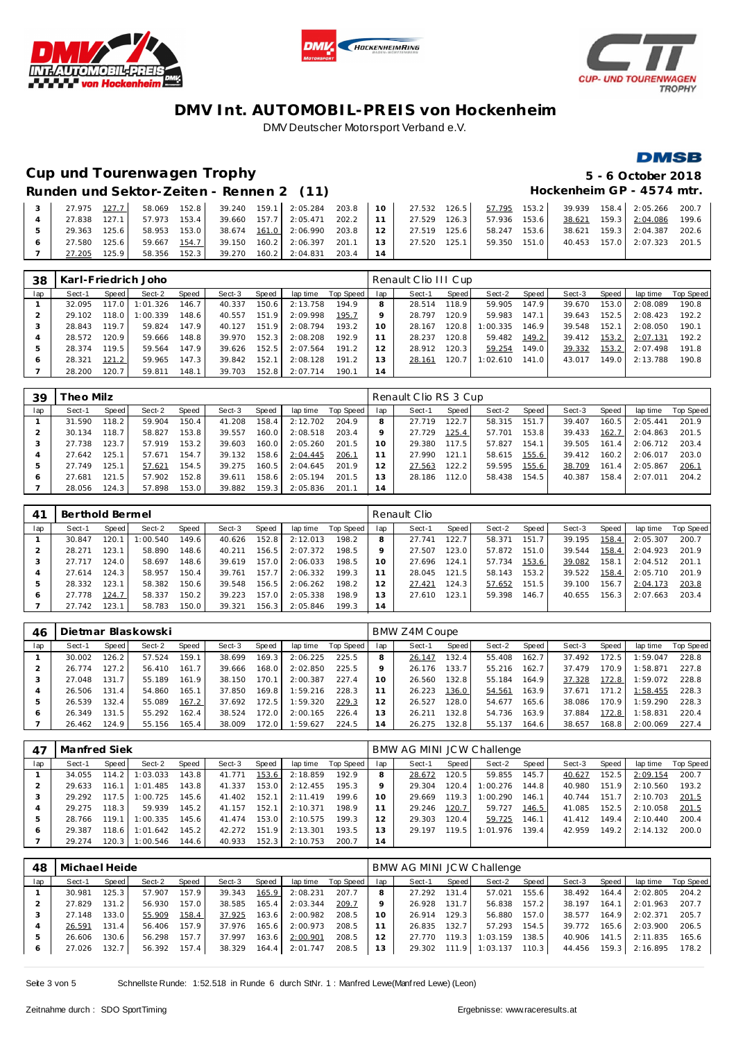





## **Cup und Tourenwagen Trophy 5 - 6 October 2018**

## **DMSB**

## Runden und Sektor-Zeiten - Rennen 2 (11) **Hockenheim GP** - 4574 mtr.

|              |       |              |  |                                                                       |  |  |              |  | 27.975 127.7 58.069 152.8 39.240 159.1 2:05.284 203.8 10 27.532 126.5 57.795 153.2 39.939 158.4 2:05.266 200.7 |  |
|--------------|-------|--------------|--|-----------------------------------------------------------------------|--|--|--------------|--|----------------------------------------------------------------------------------------------------------------|--|
| 27.838 127.1 |       |              |  | 57.973 153.4 39.660 157.7 2:05.471 202.2 11 27.529 126.3              |  |  | 57.936 153.6 |  | 38.621 159.3 2:04.086 199.6                                                                                    |  |
| 29.363 125.6 |       | 58.953 153.0 |  | 38.674 161.0 2:06.990 203.8 12 27.519 125.6 58.247 153.6              |  |  |              |  | 38.621 159.3 2:04.387 202.6                                                                                    |  |
| 27.580       | 125.6 |              |  | 59.667 154.7 39.150 160.2 2:06.397 201.1 13 27.520 125.1 59.350 151.0 |  |  |              |  | 40.453 157.0 2:07.323 201.5                                                                                    |  |
| 27.205       | 125.9 |              |  | 58.356 152.3 39.270 160.2 2:04.831 203.4 14                           |  |  |              |  |                                                                                                                |  |

| 38  |        |         | Karl-Friedrich Joho |       |        |       |          |           |     | Renault Clio III Cup |       |          |       |        |       |          |           |
|-----|--------|---------|---------------------|-------|--------|-------|----------|-----------|-----|----------------------|-------|----------|-------|--------|-------|----------|-----------|
| lap | Sect-1 | Speed   | Sect-2              | Speed | Sect-3 | Speed | lap time | Top Speed | lap | Sect-1               | Speed | Sect-2   | Speed | Sect-3 | Speed | lap time | Top Speed |
|     | 32.095 | 117.O I | 1:01.326            | 146.7 | 40.337 | 150.6 | 2:13.758 | 194.9     | 8   | 28.514               | 118.9 | 59.905   | 147.9 | 39.670 | 153.0 | 2:08.089 | 190.8     |
|     | 29.102 | 118.0   | : 00.339            | 148.6 | 40.557 | 151.9 | 2:09.998 | 195.7     |     | 28.797               | 120.9 | 59.983   | 147.1 | 39.643 | 152.5 | 2:08.423 | 192.2     |
|     | 28.843 | 119.7   | 59.824              | 147.9 | 40.127 | 151.9 | 2:08.794 | 193.2     | 10  | 28.167               | 120.8 | 1:00.335 | 146.9 | 39.548 | 152.1 | 2:08.050 | 190.1     |
|     | 28.572 | 120.9   | 59.666              | 148.8 | 39.970 | 152.3 | 2:08.208 | 192.9     |     | 28.237               | 120.8 | 59.482   | 149.2 | 39.412 | 153.2 | 2:07.131 | 192.2     |
|     | 28.374 | 119.5   | 59.564              | 147.9 | 39.626 | 152.5 | 2:07.564 | 191.2     | 12  | 28.912               | 120.3 | 59.254   | 149.0 | 39.332 | 153.2 | 2:07.498 | 191.8     |
| 6   | 28.321 | 121.2   | 59.965              | 147.3 | 39.842 | 152.1 | 2:08.128 | 191.2     | 13  | 28.161               | 120.7 | 1:02.610 | 141.0 | 43.017 | 149.0 | 2:13.788 | 190.8     |
|     | 28,200 | 120.7   | 59.811              | 148.1 | 39.703 | 152.8 | 2:07.714 | 190.1     | 14  |                      |       |          |       |        |       |          |           |

| 39  | heo Milz |       |        |       |        |       |          |           |                | Renault Clio RS 3 Cup |       |        |         |        |       |          |                  |
|-----|----------|-------|--------|-------|--------|-------|----------|-----------|----------------|-----------------------|-------|--------|---------|--------|-------|----------|------------------|
| lap | Sect-1   | Speed | Sect-2 | Speed | Sect-3 | Speed | lap time | Top Speed | lap            | Sect-1                | Speed | Sect-2 | Speed   | Sect-3 | Speed | lap time | <b>Top Speed</b> |
|     | 31.590   | 118.2 | 59.904 | 150.4 | 41.208 | 158.4 | 2:12.702 | 204.9     |                | 27.719                | 122.7 | 58.315 | 151.7   | 39.407 | 160.5 | 2:05.441 | 201.9            |
|     | 30.134   | 118.7 | 58.827 | 153.8 | 39.557 | 160.0 | 2:08.518 | 203.4     |                | 27.729                | 125.4 | 57.701 | 153.8 I | 39.433 | 162.7 | 2:04.863 | 201.5            |
| -3  | 27.738   | 123.7 | 57.919 | 153.2 | 39.603 | 160.0 | 2:05.260 | 201.5     | 10             | 29.380                | 117.5 | 57.827 | 154.1   | 39.505 | 161.4 | 2:06.712 | 203.4            |
|     | 27.642   | 125.1 | 57.671 | 154.7 | 39.132 | 158.6 | 2:04.445 | 206.1     |                | 27.990                | 121.1 | 58.615 | 155.6   | 39.412 | 160.2 | 2:06.017 | 203.0            |
| ь   | 27.749   | 125.1 | 57.621 | 154.5 | 39.275 | 160.5 | 2:04.645 | 201.9     |                | 27.563                | 122.2 | 59.595 | 155.6   | 38.709 | 161.4 | 2:05.867 | 206.7            |
| O   | 27.681   | 121.5 | 57.902 | 152.8 | 39.611 | 158.6 | 2:05.194 | 201.5     | 3              | 28.186                | 112.0 | 58.438 | 154.5   | 40.387 | 158.4 | 2:07.011 | 204.2            |
|     | 28.056   | 124.3 | 57.898 | 153.0 | 39.882 | 159.3 | 2:05.836 | 201.1     | $\overline{4}$ |                       |       |        |         |        |       |          |                  |

| 41  | Berthold Bermel |       |          |       |        |       |          |           |     | Renault Clio |       |        |         |        |       |          |                  |
|-----|-----------------|-------|----------|-------|--------|-------|----------|-----------|-----|--------------|-------|--------|---------|--------|-------|----------|------------------|
| lap | Sect-1          | Speed | Sect-2   | Speed | Sect-3 | Speed | lap time | Top Speed | lap | Sect-1       | Speed | Sect-2 | Speed I | Sect-3 | Speed | lap time | <b>Top Speed</b> |
|     | 30.847          | 120.1 | : 00.540 | 149.6 | 40.626 | 152.8 | 2:12.013 | 198.2     | 8   | 27.741       | 122.7 | 58.371 | 151.7   | 39.195 | 158.4 | 2:05.307 | 200.7            |
|     | 28.271          | 123.1 | 58.890   | 148.6 | 40.211 | 156.5 | 2:07.372 | 198.5     |     | 27.507       | 123.0 | 57.872 | 151.0   | 39.544 | 158.4 | 2:04.923 | 201.9            |
|     | 27.717          | 124.0 | 58.697   | 148.6 | 39.619 | 157.0 | 2:06.033 | 198.5     | 10  | 27.696       | 124.1 | 57.734 | 153.6   | 39.082 | 158.1 | 2:04.512 | 201.1            |
|     | 27.614          | 124.3 | 58.957   | 150.4 | 39.761 | 157.7 | 2:06.332 | 199.3     |     | 28.045       | 121.5 | 58.143 | 153.2   | 39.522 | 158.4 | 2:05.710 | 201.9            |
| .b  | 28.332          | 123.1 | 58.382   | 150.6 | 39.548 | 156.5 | 2:06.262 | 198.2     |     | 27.421       | 124.3 | 57.652 | 151.5   | 39.100 | 156.7 | 2:04.173 | 203.8            |
| O   | 27.778          | 124.7 | 58.337   | 150.2 | 39.223 | 157.0 | 2:05.338 | 198.9     | 13  | 27.610       | 123.1 | 59.398 | 146.7   | 40.655 | 156.3 | 2:07.663 | 203.4            |
|     | 27.742          | 123.1 | 58.783   | 150.0 | 39.321 | 156.3 | 2:05.846 | 199.3     | 14  |              |       |        |         |        |       |          |                  |

| 46  |        |                    | Dietmar Blaskowski |       |        |       |          |           |                | BMW Z4M Coupe |       |        |       |        |       |          |           |
|-----|--------|--------------------|--------------------|-------|--------|-------|----------|-----------|----------------|---------------|-------|--------|-------|--------|-------|----------|-----------|
| lap | Sect-1 | <b>Speed</b>       | Sect-2             | Speed | Sect-3 | Speed | lap time | Top Speed | lap            | Sect-1        | Speed | Sect-2 | Speed | Sect-3 | Speed | lap time | Top Speed |
|     | 30.002 | 126.2              | 57.524             | 159.1 | 38.699 | 169.3 | 2:06.225 | 225.5     |                | 26.147        | 132.4 | 55.408 | 162.7 | 37.492 | 172.5 | 1:59.047 | 228.8     |
|     | 26.774 | 127.2              | 56.410             | 161.7 | 39.666 | 168.0 | 2:02.850 | 225.5     |                | 26.176        | 133.7 | 55.216 | 162.7 | 37.479 | 170.9 | 1:58.871 | 227.8     |
| 3   | 27.048 | 131.7 <sub>1</sub> | 55.189             | 161.9 | 38.150 | 170.1 | 2:00.387 | 227.4     |                | 26.560        | 132.8 | 55.184 | 164.9 | 37.328 | 172.8 | 1:59.072 | 228.8     |
|     | 26.506 | 131.4              | 54.860             | 165.1 | 37.850 | 169.8 | 1:59.216 | 228.3     |                | 26.223        | 136.0 | 54.561 | 163.9 | 37.671 | 171.2 | 1:58.455 | 228.3     |
| ь   | 26.539 | 132.4              | 55.089             | 167.2 | 37.692 | 172.5 | 1:59.320 | 229.3     | 2              | 26.527        | 128.0 | 54.677 | 165.6 | 38.086 | 170.9 | 1:59.290 | 228.3     |
| O   | 26.349 | 131.5              | 55.292             | 162.4 | 38.524 | 172.0 | 2:00.165 | 226.4     |                | 26.211        | 132.8 | 54.736 | 163.9 | 37.884 | 172.8 | 1:58.831 | 220.4     |
|     | 26.462 | 124.9              | 55.156             | 165.4 | 38.009 | 172.0 | 1:59.627 | 224.5     | $\overline{4}$ | 26.275        | 132.8 | 55.137 | 164.6 | 38.657 | 168.8 | 2:00.069 | 227.4     |

| $4^-$   | Manfred Siek |       |          |       |        |       |          |           |     | BMW AG MINI JCW Challenge |       |          |       |        |       |          |           |
|---------|--------------|-------|----------|-------|--------|-------|----------|-----------|-----|---------------------------|-------|----------|-------|--------|-------|----------|-----------|
| lap     | Sect-1       | Speed | Sect-2   | Speed | Sect-3 | Speed | lap time | Top Speed | lap | Sect-1                    | Speed | Sect-2   | Speed | Sect-3 | Speed | lap time | Top Speed |
|         | 34.055       | 114.2 | 1:03.033 | 143.8 | 41.771 | 153.6 | 2:18.859 | 192.9     |     | 28.672                    | 120.5 | 59.855   | 145.7 | 40.627 | 152.5 | 2:09.154 | 200.7     |
|         | 29.633       | 116.1 | 1:01.485 | 143.8 | 41.337 | 153.0 | 2:12.455 | 195.3     |     | 29.304                    | 120.4 | 1:00.276 | 144.8 | 40.980 | 151.9 | 2:10.560 | 193.2     |
| 3       | 29.292       | 117.5 | 1:00.725 | 145.6 | 41.402 | 152.1 | 2:11.419 | 199.6     |     | 29.669                    | 119.3 | 1:00.290 | 146.1 | 40.744 | 151.7 | 2:10.703 | 201.5     |
|         | 29.275       | 118.3 | 59.939   | 145.2 | 41.157 | 152.1 | 2:10.371 | 198.9     |     | 29.246                    | 120.7 | 59.727   | 146.5 | 41.085 | 152.5 | 2:10.058 | 201.5     |
| 5       | 28.766       | 119.1 | 1:00.335 | 145.6 | 41.474 | 153.0 | 2:10.575 | 199.3     |     | 29.303                    | 120.4 | 59.725   | 146.1 | 41.412 | 149.4 | 2:10.440 | 200.4     |
| $\circ$ | 29.387       | 118.6 | 1:01.642 | 145.2 | 42.272 | 151.9 | 2:13.301 | 193.5     | 3   | 29.197                    | 119.5 | 1:01.976 | 139.4 | 42.959 | 149.2 | 2:14.132 | 200.0     |
|         | 29.274       | 120.3 | 1:00.546 | 144.6 | 40.933 | 152.3 | 2:10.753 | 200.7     | 14  |                           |       |          |       |        |       |          |           |

| 48  | Michael Heide |       |        |                    |        |       |          |           |     | BMW AG MINI JCW Challenge |        |          |       |        |       |          |           |
|-----|---------------|-------|--------|--------------------|--------|-------|----------|-----------|-----|---------------------------|--------|----------|-------|--------|-------|----------|-----------|
| lap | Sect-1        | Speed | Sect-2 | Speed              | Sect-3 | Speed | lap time | Top Speed | lap | Sect-1                    | Speed  | Sect-2   | Speed | Sect-3 | Speed | lap time | Top Speed |
|     | 30.981        | 125.3 | 57.907 | 157.9 <sub>1</sub> | 39.343 | 165.9 | 2:08.231 | 207.7     | 8   | 27.292                    | 131.4  | 57.021   | 155.6 | 38.492 | 164.4 | 2:02.805 | 204.2     |
|     | 27.829        | 131.2 | 56.930 | 157.0              | 38.585 | 165.4 | 2:03.344 | 209.7     |     | 26.928                    | 131.7  | 56.838   | 157.2 | 38.197 | 164.1 | 2:01.963 | 207.7     |
|     | 27.148        | 133.0 | 55.909 | 158.4              | 37.925 | 163.6 | 2:00.982 | 208.5     | 10  | 26.914                    | 129.3  | 56.880   | 157.0 | 38.577 | 164.9 | 2:02.371 | 205.7     |
|     | 26.591        | 131.4 | 56.406 | 157.9              | 37.976 | 165.6 | 2:00.973 | 208.5     |     | 26.835                    | 132.7  | 57.293   | 154.5 | 39.772 | 165.6 | 2:03.900 | 206.5     |
| 5   | 26.606        | 130.6 | 56.298 | 157.7              | 37.997 | 163.6 | 2:00.901 | 208.5     |     | 27.770                    | 119.3  | 1:03.159 | 138.5 | 40.906 | 141.5 | 2:11.835 | 165.6     |
| O   | 27.026        | 132.7 | 56.392 | 157.4              | 38.329 | 164.4 | 2:01.747 | 208.5     | 3   | 29.302                    | 111.91 | 1:03.137 | 110.3 | 44.456 | 159.3 | 2:16.895 | 178.2     |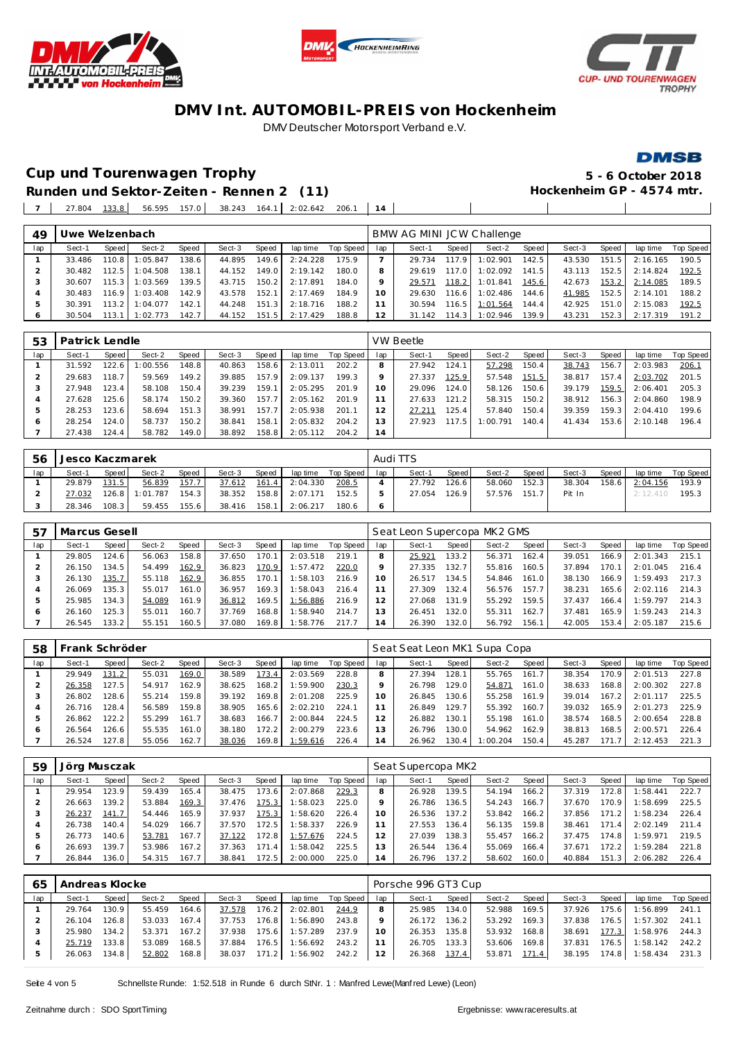





#### **DMSB**

**Cup und Tourenwagen Trophy 5 - 6 October 2018**  $\overline{\phantom{a}}$ 

 $\blacksquare$ 

**Runden und Sektor-Zeiten - Rennen 2 (11)** 27.804 133.8 56.595 157.0 38.243 164.1 2:02.642 206.1 **14**

| 49  | Uwe Welzenbach |       |          |              |        |       |          |           |     | BMW AG MINI JCW Challenge |       |          |       |        |       |          |           |
|-----|----------------|-------|----------|--------------|--------|-------|----------|-----------|-----|---------------------------|-------|----------|-------|--------|-------|----------|-----------|
| lap | Sect-1         | Speed | Sect-2   | <b>Speed</b> | Sect-3 | Speed | lap time | Top Speed | lap | Sect-1                    | Speed | Sect-2   | Speed | Sect-3 | Speed | lap time | Top Speed |
|     | 33.486         | 110.8 | 1:05.847 | 138.6        | 44.895 | 149.6 | 2:24.228 | 175.9     |     | 29.734                    | 117.9 | 1:02.901 | 142.5 | 43.530 | 151.5 | 2:16.165 | 190.5     |
|     | 30.482         | 112.5 | 1:04.508 | 138.1        | 44.152 | 149.0 | 2:19.142 | 180.0     | 8   | 29.619                    | 1170  | 1:02.092 | 141.5 | 43.113 | 152.5 | 2:14.824 | 192.5     |
|     | 30.607         | 115.3 | 1:03.569 | 139.5        | 43.715 | 150.2 | 2:17.891 | 184.0     | Q   | 29.571                    | 118.2 | 1:01.841 | 145.6 | 42.673 | 153.2 | 2:14.085 | 189.5     |
|     | 30.483         | 116.9 | 1:03.408 | 142.9        | 43.578 | 152.1 | 2:17.469 | 184.9     | 10  | 29.630                    | 116.6 | 1:02.486 | 144.6 | 41.985 | 152.5 | 2:14.101 | 188.2     |
| 5   | 30.391         | 113.2 | 1:04.077 | 142.1        | 44.248 | 151.3 | 2:18.716 | 188.2     |     | 30.594                    | 116.5 | 1:01.564 | 144.4 | 42.925 | 151.0 | 2:15.083 | 192.5     |
| 6   | 30.504         | 113.1 | 1:02.773 | 142.7        | 44.152 | 151.5 | 2:17.429 | 188.8     | 12  | 31.142                    | 114.3 | 1:02.946 | 139.9 | 43.231 | 152.3 | 2:17.319 | 191.2     |
|     |                |       |          |              |        |       |          |           |     |                           |       |          |       |        |       |          |           |

| 53  | Patrick Lendle |         |          |       |        |       |          |           |     | <b>VW Beetle</b> |       |          |       |        |       |          |           |
|-----|----------------|---------|----------|-------|--------|-------|----------|-----------|-----|------------------|-------|----------|-------|--------|-------|----------|-----------|
| lap | Sect-1         | Speed   | Sect-2   | Speed | Sect-3 | Speed | lap time | Top Speed | lap | Sect-1           | Speed | Sect-2   | Speed | Sect-3 | Speed | lap time | Top Speed |
|     | 31.592         | 122.6   | 1:00.556 | 148.8 | 40.863 | 158.6 | 2:13.011 | 202.2     |     | 27.942           | 124.1 | 57.298   | 150.4 | 38.743 | 156.7 | 2:03.983 | 206.7     |
|     | 29.683         | 118.7   | 59.569   | 149.2 | 39.885 | 157.9 | 2:09.137 | 199.3     |     | 27.337           | 125.9 | 57.548   | 151.5 | 38.817 | 157.4 | 2:03.702 | 201.5     |
|     | 27.948         | 123.4   | 58.108   | 150.4 | 39.239 | 159.1 | 2:05.295 | 201.9     | 10  | 29.096           | 124.0 | 58.126   | 150.6 | 39.179 | 159.5 | 2:06.401 | 205.3     |
|     | 27.628         | 125.6   | 58.174   | 150.2 | 39.360 | 157.7 | 2:05.162 | 201.9     |     | 27.633           | 121.2 | 58.315   | 150.2 | 38.912 | 156.3 | 2:04.860 | 198.9     |
|     | 28.253         | 123.6   | 58.694   | 151.3 | 38.991 | 157.7 | 2:05.938 | 201.1     |     | 27.211           | 125.4 | 57.840   | 150.4 | 39.359 | 159.3 | 2:04.410 | 199.6     |
|     | 28.254         | 124.0   | 58.737   | 150.2 | 38.841 | 158.1 | 2:05.832 | 204.2     | 3   | 27.923           | 117.5 | 1:00.791 | 140.4 | 41.434 | 153.6 | 2:10.148 | 196.4     |
|     | 27.438         | 124.4 I | 58.782   | 149.0 | 38.892 | 158.8 | 2:05.112 | 204.2     | 14  |                  |       |          |       |        |       |          |           |

| 56  | Jesco Kaczmarek |       |          |       |        |       |          |           |              | Audi TTS |       |        |       |        |       |          |           |
|-----|-----------------|-------|----------|-------|--------|-------|----------|-----------|--------------|----------|-------|--------|-------|--------|-------|----------|-----------|
| lap | Sect-1          | Speed | Sect-2   | Speed | Sect-3 | Speed | lap time | Top Speed | lap          | Sect-1   | Speed | Sect-2 | Speed | Sect-3 | Speed | lap time | Top Speed |
|     | 29.879          | 131.5 | 56.839   | 157.7 | 37.612 | 161.4 | 2:04.330 | 208.5     |              | 27.792   | 126.6 | 58.060 | 152.3 | 38.304 | 158.6 | 2:04.156 | 193.9     |
|     | 27.032          | 126.8 | 1:01.787 | 154.3 | 38.352 | 158.8 | 2:07.171 | 152.5     |              | 27.054   | 126.9 | 57.576 | 151.7 | Pit In |       | 2:12.410 | 195.3     |
|     | 28.346          | 108.3 | 59.455   | 155.6 | 38.416 | 158.1 | 2:06.217 | 180.6     | <sub>6</sub> |          |       |        |       |        |       |          |           |

| 57  | Marcus Gesell |        |        |              |        |       |          |           |     | Seat Leon Supercopa MK2 GMS |       |        |       |        |       |          |           |
|-----|---------------|--------|--------|--------------|--------|-------|----------|-----------|-----|-----------------------------|-------|--------|-------|--------|-------|----------|-----------|
| lap | Sect-1        | Speed  | Sect-2 | <b>Speed</b> | Sect-3 | Speed | lap time | Top Speed | lap | Sect-1                      | Speed | Sect-2 | Speed | Sect-3 | Speed | lap time | Top Speed |
|     | 29.805        | 124.6  | 56.063 | 158.8        | 37.650 | 170.  | 2:03.518 | 219.7     |     | 25.921                      | 133.2 | 56.371 | 162.4 | 39.051 | 166.9 | 2:01.343 | 215.1     |
|     | 26.150        | 134.5  | 54.499 | 162.9        | 36.823 | 170.9 | 1:57.472 | 220.0     |     | 27.335                      | 132.7 | 55.816 | 160.5 | 37.894 | 170.7 | 2:01.045 | 216.4     |
|     | 26.130        | 135.7  | 55.118 | 162.9        | 36.855 | 170.1 | 1:58.103 | 216.9     |     | 26.517                      | 134.5 | 54.846 | 161.0 | 38.130 | 166.9 | :59.493  | 217.3     |
|     | 26.069        | 135.3  | 55.017 | 161.0        | 36.957 | 169.3 | 1:58.043 | 216.4     |     | 27.309                      | 132.4 | 56.576 | 157.7 | 38.231 | 165.6 | 2:02.116 | 214.3     |
|     | 25.985        | 134.31 | 54.089 | 161.9        | 36.812 | 169.5 | 1:56.886 | 216.9     |     | 27.068                      | 131.9 | 55.292 | 159.5 | 37.437 | 166.4 | :59.797  | 214.3     |
| c   | 26.160        | 125.3  | 55.011 | 160.7        | 37.769 | 168.8 | 1:58.940 | 214.7     |     | 26.451                      | 132.0 | 55.311 | 162.7 | 37.481 | 165.9 | :59.243  | 214.3     |
|     | 26.545        | 133.2  | 55.151 | 160.5        | 37.080 | 169.8 | 1:58.776 | 217.7     | 4   | 26.390                      | 132.0 | 56.792 | 156.1 | 42.005 | 153.4 | 2:05.187 | 215.6     |

| 58  | Frank Schröder |       |        |       |        |       |          |           |                | Seat Seat Leon MK1 Supa Copa |       |          |                    |        |       |          |           |
|-----|----------------|-------|--------|-------|--------|-------|----------|-----------|----------------|------------------------------|-------|----------|--------------------|--------|-------|----------|-----------|
| lap | Sect-1         | Speed | Sect-2 | Speed | Sect-3 | Speed | lap time | Top Speed | lap            | Sect-1                       | Speed | Sect-2   | Speed              | Sect-3 | Speed | lap time | Top Speed |
|     | 29.949         | 131.2 | 55.031 | 169.0 | 38.589 | 173.4 | 2:03.569 | 228.8     | 8              | 27.394                       | 128.1 | 55.765   | 161.71             | 38.354 | 170.9 | 2:01.513 | 227.8     |
|     | 26.358         | 127.5 | 54.917 | 162.9 | 38.625 | 168.2 | 1:59.900 | 230.3     |                | 26.798                       | 129.0 | 54.871   | 161.0              | 38.633 | 168.8 | 2:00.302 | 227.8     |
|     | 26.802         | 128.6 | 55.214 | 159.8 | 39.192 | 169.8 | 2:01.208 | 225.9     | 10             | 26.845                       | 130.6 | 55.258   | 161.9              | 39.014 | 167.2 | 2:01.117 | 225.5     |
|     | 26.716         | 128.4 | 56.589 | 159.8 | 38.905 | 165.6 | 2:02.210 | 224.1     |                | 26.849                       | 129.7 | 55.392   | 160.7 <sub>1</sub> | 39.032 | 165.9 | 2:01.273 | 225.9     |
|     | 26.862         | 122.2 | 55.299 | 161.7 | 38.683 | 166.7 | 2:00.844 | 224.5     |                | 26.882                       | 130.1 | 55.198   | 161.0              | 38.574 | 168.5 | 2:00.654 | 228.8     |
| Ô   | 26.564         | 126.6 | 55.535 | 161.0 | 38.180 | 172.2 | 2:00.279 | 223.6     | 3              | 26.796                       | 130.0 | 54.962   | 162.9              | 38.813 | 168.5 | 2:00.571 | 226.4     |
|     | 26.524         | 127.8 | 55.056 | 162.7 | 38.036 | 169.8 | 1:59.616 | 226.4     | $\overline{4}$ | 26.962                       | 130.4 | 1:00.204 | 150.4              | 45.287 | 171.  | 2:12.453 | 221.3     |

| 59  | Jörg Musczak |       |        |       |        |          |          |           |     | Seat Supercopa MK2 |       |        |              |        |       |          |           |
|-----|--------------|-------|--------|-------|--------|----------|----------|-----------|-----|--------------------|-------|--------|--------------|--------|-------|----------|-----------|
| lap | Sect-1       | Speed | Sect-2 | Speed | Sect-3 | Speed    | lap time | Top Speed | lap | Sect-1             | Speed | Sect-2 | <b>Speed</b> | Sect-3 | Speed | lap time | Top Speed |
|     | 29.954       | 123.9 | 59.439 | 165.4 | 38.475 | 173.6    | 2:07.868 | 229.3     | 8   | 26.928             | 139.5 | 54.194 | 166.21       | 37.319 | 172.8 | :58.441  | 222.7     |
|     | 26.663       | 139.2 | 53.884 | 169.3 | 37.476 | 175.3    | 1:58.023 | 225.0     |     | 26.786             | 136.5 | 54.243 | 166.7        | 37.670 | 170.9 | :58.699  | 225.5     |
| 3   | 26.237       | 141.7 | 54.446 | 165.9 | 37.937 | 175.3    | 1:58.620 | 226.4     | 10  | 26.536             | 137.2 | 53.842 | 166.2        | 37.856 | 171.2 | :58.234  | 226.4     |
| 4   | 26.738       | 140.4 | 54.029 | 166.7 | 37.570 | 172.5    | 1:58.337 | 226.9     |     | 27.553             | 136.4 | 56.135 | 159.8        | 38.461 | 171.4 | 2:02.149 | 211.4     |
| 5   | 26.773       | 140.6 | 53.781 | 167.7 | 37.122 | 172.8 I  | 1:57.676 | 224.5     |     | 27.039             | 138.3 | 55.457 | 166.2        | 37.475 | 174.8 | : 59.971 | 219.5     |
| O   | 26.693       | 139.7 | 53.986 | 167.2 | 37.363 | 171<br>4 | 1:58.042 | 225.5     |     | 26.544             | 36.4  | 55.069 | 166.4        | 37.671 | 172.2 | :59.284  | 221.8     |
|     | 26.844       | 136.0 | 54.315 | 167.7 | 38.841 | 172.5    | 2:00.000 | 225.0     | 4   | 26.796             | 137.2 | 58.602 | 160.0        | 40.884 | 151.3 | 2:06.282 | 226.4     |

| 65  | Andreas Klocke |                    |        |       |        |       |          |                 |    | Porsche 996 GT3 Cup |       |        |       |        |       |          |           |
|-----|----------------|--------------------|--------|-------|--------|-------|----------|-----------------|----|---------------------|-------|--------|-------|--------|-------|----------|-----------|
| lap | Sect-1         | Speed I            | Sect-2 | Speed | Sect-3 | Speed | lap time | Top Speed   lap |    | Sect-1              | Speed | Sect-2 | Speed | Sect-3 | Speed | lap time | Top Speed |
|     | 29.764         | 130.9 <sub>1</sub> | 55.459 | 164.6 | 37.578 | 176.2 | 2:02.801 | 244.9           |    | 25.985              | 134.0 | 52.988 | 169.5 | 37.926 | 175.6 | 1:56.899 | 241.1     |
|     | 26.104         | 126.8              | 53.033 | 167.4 | 37.753 | 176.8 | 1:56.890 | 243.8           |    | 26.172              | 136.2 | 53.292 | 169.3 | 37.838 | 176.5 | 1:57.302 | 241.1     |
|     | 25.980         | 134.2              | 53.371 | 167.2 | 37.938 | 175.6 | 1:57.289 | 237.9           | 10 | 26.353              | 135.8 | 53.932 | 168.8 | 38.691 | 177.3 | 1:58.976 | 244.3     |
|     | 25.719         | 133.8              | 53.089 | 168.5 | 37.884 | 176.5 | 1:56.692 | 243.2           |    | 26.705              | 133.3 | 53.606 | 169.8 | 37.831 | 176.5 | 1:58.142 | 242.2     |
|     | 26.063         | 134.8              | 52.802 | 168.8 | 38.037 | 171.2 | 1:56.902 | 242.2           | 12 | 26.368              | 137.4 | 53.871 | 171.4 | 38.195 | 174.8 | 1:58.434 | 231.3     |

Seite 4 von 5 Schnellste Runde: 1:52.518 in Runde 6 durch StNr. 1 : Manfred Lewe(Manfred Lewe) (Leon)